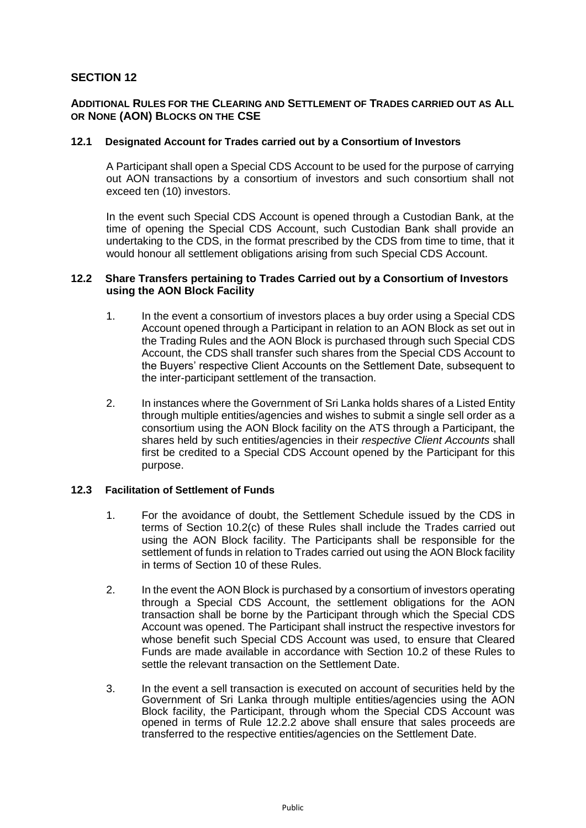# **SECTION 12**

# **ADDITIONAL RULES FOR THE CLEARING AND SETTLEMENT OF TRADES CARRIED OUT AS ALL OR NONE (AON) BLOCKS ON THE CSE**

# **12.1 Designated Account for Trades carried out by a Consortium of Investors**

A Participant shall open a Special CDS Account to be used for the purpose of carrying out AON transactions by a consortium of investors and such consortium shall not exceed ten (10) investors.

In the event such Special CDS Account is opened through a Custodian Bank, at the time of opening the Special CDS Account, such Custodian Bank shall provide an undertaking to the CDS, in the format prescribed by the CDS from time to time, that it would honour all settlement obligations arising from such Special CDS Account.

## **12.2 Share Transfers pertaining to Trades Carried out by a Consortium of Investors using the AON Block Facility**

- 1. In the event a consortium of investors places a buy order using a Special CDS Account opened through a Participant in relation to an AON Block as set out in the Trading Rules and the AON Block is purchased through such Special CDS Account, the CDS shall transfer such shares from the Special CDS Account to the Buyers' respective Client Accounts on the Settlement Date, subsequent to the inter-participant settlement of the transaction.
- 2. In instances where the Government of Sri Lanka holds shares of a Listed Entity through multiple entities/agencies and wishes to submit a single sell order as a consortium using the AON Block facility on the ATS through a Participant, the shares held by such entities/agencies in their *respective Client Accounts* shall first be credited to a Special CDS Account opened by the Participant for this purpose.

# **12.3 Facilitation of Settlement of Funds**

- 1. For the avoidance of doubt, the Settlement Schedule issued by the CDS in terms of Section 10.2(c) of these Rules shall include the Trades carried out using the AON Block facility. The Participants shall be responsible for the settlement of funds in relation to Trades carried out using the AON Block facility in terms of Section 10 of these Rules.
- 2. In the event the AON Block is purchased by a consortium of investors operating through a Special CDS Account, the settlement obligations for the AON transaction shall be borne by the Participant through which the Special CDS Account was opened. The Participant shall instruct the respective investors for whose benefit such Special CDS Account was used, to ensure that Cleared Funds are made available in accordance with Section 10.2 of these Rules to settle the relevant transaction on the Settlement Date.
- 3. In the event a sell transaction is executed on account of securities held by the Government of Sri Lanka through multiple entities/agencies using the AON Block facility, the Participant, through whom the Special CDS Account was opened in terms of Rule 12.2.2 above shall ensure that sales proceeds are transferred to the respective entities/agencies on the Settlement Date.